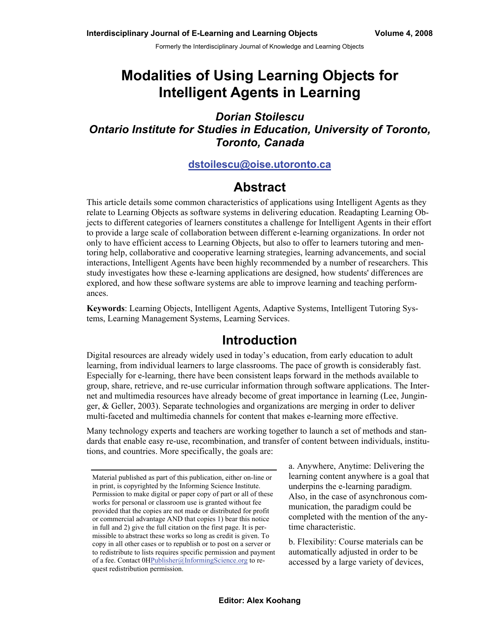Formerly the Interdisciplinary Journal of Knowledge and Learning Objects

# **Modalities of Using Learning Objects for Intelligent Agents in Learning**

### *Dorian Stoilescu Ontario Institute for Studies in Education, University of Toronto, Toronto, Canada*

#### **[dstoilescu@oise.utoronto.ca](mailto:dstoilescu@oise.utoronto.ca)**

### **Abstract**

This article details some common characteristics of applications using Intelligent Agents as they relate to Learning Objects as software systems in delivering education. Readapting Learning Objects to different categories of learners constitutes a challenge for Intelligent Agents in their effort to provide a large scale of collaboration between different e-learning organizations. In order not only to have efficient access to Learning Objects, but also to offer to learners tutoring and mentoring help, collaborative and cooperative learning strategies, learning advancements, and social interactions, Intelligent Agents have been highly recommended by a number of researchers. This study investigates how these e-learning applications are designed, how students' differences are explored, and how these software systems are able to improve learning and teaching performances.

**Keywords**: Learning Objects, Intelligent Agents, Adaptive Systems, Intelligent Tutoring Systems, Learning Management Systems, Learning Services.

### **Introduction**

Digital resources are already widely used in today's education, from early education to adult learning, from individual learners to large classrooms. The pace of growth is considerably fast. Especially for e-learning, there have been consistent leaps forward in the methods available to group, share, retrieve, and re-use curricular information through software applications. The Internet and multimedia resources have already become of great importance in learning (Lee, Junginger, & Geller, 2003). Separate technologies and organizations are merging in order to deliver multi-faceted and multimedia channels for content that makes e-learning more effective.

Many technology experts and teachers are working together to launch a set of methods and standards that enable easy re-use, recombination, and transfer of content between individuals, institutions, and countries. More specifically, the goals are:

a. Anywhere, Anytime: Delivering the learning content anywhere is a goal that underpins the e-learning paradigm. Also, in the case of asynchronous communication, the paradigm could be completed with the mention of the anytime characteristic.

b. Flexibility: Course materials can be automatically adjusted in order to be accessed by a large variety of devices,

Material published as part of this publication, either on-line or in print, is copyrighted by the Informing Science Institute. Permission to make digital or paper copy of part or all of these works for personal or classroom use is granted without fee provided that the copies are not made or distributed for profit or commercial advantage AND that copies 1) bear this notice in full and 2) give the full citation on the first page. It is permissible to abstract these works so long as credit is given. To copy in all other cases or to republish or to post on a server or to redistribute to lists requires specific permission and payment of a fee. Contact  $OHPublisher@InformingScience.org$  to request redistribution permission.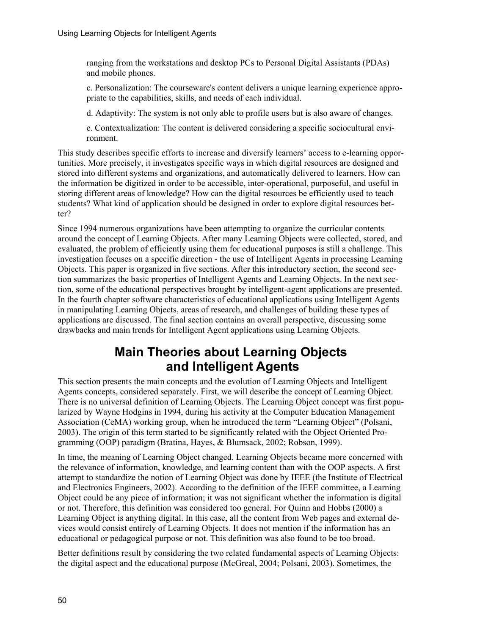ranging from the workstations and desktop PCs to Personal Digital Assistants (PDAs) and mobile phones.

c. Personalization: The courseware's content delivers a unique learning experience appropriate to the capabilities, skills, and needs of each individual.

d. Adaptivity: The system is not only able to profile users but is also aware of changes.

e. Contextualization: The content is delivered considering a specific sociocultural environment.

This study describes specific efforts to increase and diversify learners' access to e-learning opportunities. More precisely, it investigates specific ways in which digital resources are designed and stored into different systems and organizations, and automatically delivered to learners. How can the information be digitized in order to be accessible, inter-operational, purposeful, and useful in storing different areas of knowledge? How can the digital resources be efficiently used to teach students? What kind of application should be designed in order to explore digital resources better?

Since 1994 numerous organizations have been attempting to organize the curricular contents around the concept of Learning Objects. After many Learning Objects were collected, stored, and evaluated, the problem of efficiently using them for educational purposes is still a challenge. This investigation focuses on a specific direction - the use of Intelligent Agents in processing Learning Objects. This paper is organized in five sections. After this introductory section, the second section summarizes the basic properties of Intelligent Agents and Learning Objects. In the next section, some of the educational perspectives brought by intelligent-agent applications are presented. In the fourth chapter software characteristics of educational applications using Intelligent Agents in manipulating Learning Objects, areas of research, and challenges of building these types of applications are discussed. The final section contains an overall perspective, discussing some drawbacks and main trends for Intelligent Agent applications using Learning Objects.

## **Main Theories about Learning Objects and Intelligent Agents**

This section presents the main concepts and the evolution of Learning Objects and Intelligent Agents concepts, considered separately. First, we will describe the concept of Learning Object. There is no universal definition of Learning Objects. The Learning Object concept was first popularized by Wayne Hodgins in 1994, during his activity at the Computer Education Management Association (CeMA) working group, when he introduced the term "Learning Object" (Polsani, 2003). The origin of this term started to be significantly related with the Object Oriented Programming (OOP) paradigm (Bratina, Hayes, & Blumsack, 2002; Robson, 1999).

In time, the meaning of Learning Object changed. Learning Objects became more concerned with the relevance of information, knowledge, and learning content than with the OOP aspects. A first attempt to standardize the notion of Learning Object was done by IEEE (the Institute of Electrical and Electronics Engineers, 2002). According to the definition of the IEEE committee, a Learning Object could be any piece of information; it was not significant whether the information is digital or not. Therefore, this definition was considered too general. For Quinn and Hobbs (2000) a Learning Object is anything digital. In this case, all the content from Web pages and external devices would consist entirely of Learning Objects. It does not mention if the information has an educational or pedagogical purpose or not. This definition was also found to be too broad.

Better definitions result by considering the two related fundamental aspects of Learning Objects: the digital aspect and the educational purpose (McGreal, 2004; Polsani, 2003). Sometimes, the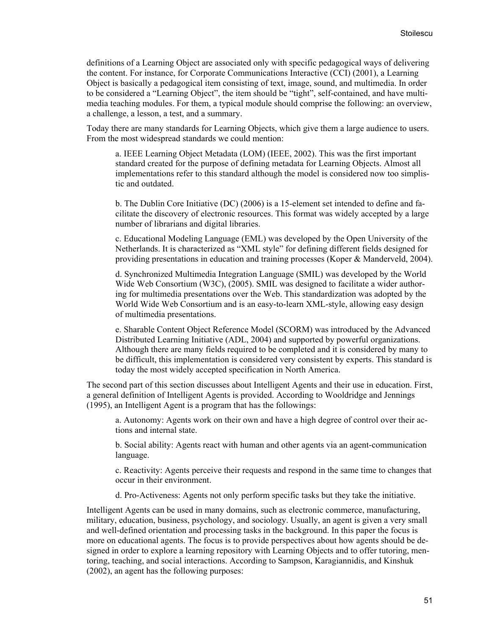definitions of a Learning Object are associated only with specific pedagogical ways of delivering the content. For instance, for Corporate Communications Interactive (CCI) (2001), a Learning Object is basically a pedagogical item consisting of text, image, sound, and multimedia. In order to be considered a "Learning Object", the item should be "tight", self-contained, and have multimedia teaching modules. For them, a typical module should comprise the following: an overview, a challenge, a lesson, a test, and a summary.

Today there are many standards for Learning Objects, which give them a large audience to users. From the most widespread standards we could mention:

a. IEEE Learning Object Metadata (LOM) (IEEE, 2002). This was the first important standard created for the purpose of defining metadata for Learning Objects. Almost all implementations refer to this standard although the model is considered now too simplistic and outdated.

b. The Dublin Core Initiative (DC) (2006) is a 15-element set intended to define and facilitate the discovery of electronic resources. This format was widely accepted by a large number of librarians and digital libraries.

c. Educational Modeling Language (EML) was developed by the Open University of the Netherlands. It is characterized as "XML style" for defining different fields designed for providing presentations in education and training processes (Koper & Manderveld, 2004).

d. Synchronized Multimedia Integration Language (SMIL) was developed by the World Wide Web Consortium (W3C), (2005). SMIL was designed to facilitate a wider authoring for multimedia presentations over the Web. This standardization was adopted by the World Wide Web Consortium and is an easy-to-learn XML-style, allowing easy design of multimedia presentations.

e. Sharable Content Object Reference Model (SCORM) was introduced by the Advanced Distributed Learning Initiative (ADL, 2004) and supported by powerful organizations. Although there are many fields required to be completed and it is considered by many to be difficult, this implementation is considered very consistent by experts. This standard is today the most widely accepted specification in North America.

The second part of this section discusses about Intelligent Agents and their use in education. First, a general definition of Intelligent Agents is provided. According to Wooldridge and Jennings (1995), an Intelligent Agent is a program that has the followings:

a. Autonomy: Agents work on their own and have a high degree of control over their actions and internal state.

b. Social ability: Agents react with human and other agents via an agent-communication language.

c. Reactivity: Agents perceive their requests and respond in the same time to changes that occur in their environment.

d. Pro-Activeness: Agents not only perform specific tasks but they take the initiative.

Intelligent Agents can be used in many domains, such as electronic commerce, manufacturing, military, education, business, psychology, and sociology. Usually, an agent is given a very small and well-defined orientation and processing tasks in the background. In this paper the focus is more on educational agents. The focus is to provide perspectives about how agents should be designed in order to explore a learning repository with Learning Objects and to offer tutoring, mentoring, teaching, and social interactions. According to Sampson, Karagiannidis, and Kinshuk (2002), an agent has the following purposes: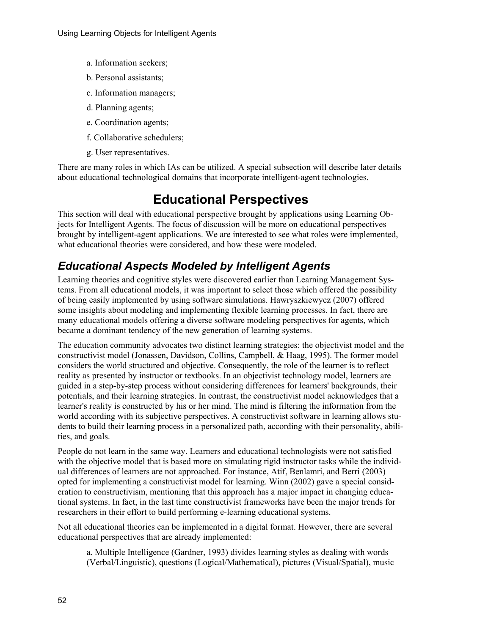- a. Information seekers;
- b. Personal assistants;
- c. Information managers;
- d. Planning agents;
- e. Coordination agents;
- f. Collaborative schedulers;
- g. User representatives.

There are many roles in which IAs can be utilized. A special subsection will describe later details about educational technological domains that incorporate intelligent-agent technologies.

## **Educational Perspectives**

This section will deal with educational perspective brought by applications using Learning Objects for Intelligent Agents. The focus of discussion will be more on educational perspectives brought by intelligent-agent applications. We are interested to see what roles were implemented, what educational theories were considered, and how these were modeled.

### *Educational Aspects Modeled by Intelligent Agents*

Learning theories and cognitive styles were discovered earlier than Learning Management Systems. From all educational models, it was important to select those which offered the possibility of being easily implemented by using software simulations. Hawryszkiewycz (2007) offered some insights about modeling and implementing flexible learning processes. In fact, there are many educational models offering a diverse software modeling perspectives for agents, which became a dominant tendency of the new generation of learning systems.

The education community advocates two distinct learning strategies: the objectivist model and the constructivist model (Jonassen, Davidson, Collins, Campbell, & Haag, 1995). The former model considers the world structured and objective. Consequently, the role of the learner is to reflect reality as presented by instructor or textbooks. In an objectivist technology model, learners are guided in a step-by-step process without considering differences for learners' backgrounds, their potentials, and their learning strategies. In contrast, the constructivist model acknowledges that a learner's reality is constructed by his or her mind. The mind is filtering the information from the world according with its subjective perspectives. A constructivist software in learning allows students to build their learning process in a personalized path, according with their personality, abilities, and goals.

People do not learn in the same way. Learners and educational technologists were not satisfied with the objective model that is based more on simulating rigid instructor tasks while the individual differences of learners are not approached. For instance, Atif, Benlamri, and Berri (2003) opted for implementing a constructivist model for learning. Winn (2002) gave a special consideration to constructivism, mentioning that this approach has a major impact in changing educational systems. In fact, in the last time constructivist frameworks have been the major trends for researchers in their effort to build performing e-learning educational systems.

Not all educational theories can be implemented in a digital format. However, there are several educational perspectives that are already implemented:

a. Multiple Intelligence (Gardner, 1993) divides learning styles as dealing with words (Verbal/Linguistic), questions (Logical/Mathematical), pictures (Visual/Spatial), music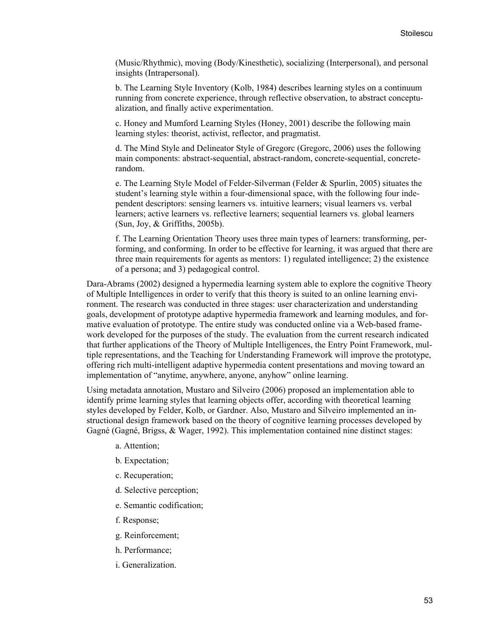(Music/Rhythmic), moving (Body/Kinesthetic), socializing (Interpersonal), and personal insights (Intrapersonal).

b. The Learning Style Inventory (Kolb, 1984) describes learning styles on a continuum running from concrete experience, through reflective observation, to abstract conceptualization, and finally active experimentation.

c. Honey and Mumford Learning Styles (Honey, 2001) describe the following main learning styles: theorist, activist, reflector, and pragmatist.

d. The Mind Style and Delineator Style of Gregorc (Gregorc, 2006) uses the following main components: abstract-sequential, abstract-random, concrete-sequential, concreterandom.

e. The Learning Style Model of Felder-Silverman (Felder & Spurlin, 2005) situates the student's learning style within a four-dimensional space, with the following four independent descriptors: sensing learners vs. intuitive learners; visual learners vs. verbal learners; active learners vs. reflective learners; sequential learners vs. global learners (Sun, Joy, & Griffiths, 2005b).

f. The Learning Orientation Theory uses three main types of learners: transforming, performing, and conforming. In order to be effective for learning, it was argued that there are three main requirements for agents as mentors: 1) regulated intelligence; 2) the existence of a persona; and 3) pedagogical control.

Dara-Abrams (2002) designed a hypermedia learning system able to explore the cognitive Theory of Multiple Intelligences in order to verify that this theory is suited to an online learning environment. The research was conducted in three stages: user characterization and understanding goals, development of prototype adaptive hypermedia framework and learning modules, and formative evaluation of prototype. The entire study was conducted online via a Web-based framework developed for the purposes of the study. The evaluation from the current research indicated that further applications of the Theory of Multiple Intelligences, the Entry Point Framework, multiple representations, and the Teaching for Understanding Framework will improve the prototype, offering rich multi-intelligent adaptive hypermedia content presentations and moving toward an implementation of "anytime, anywhere, anyone, anyhow" online learning.

Using metadata annotation, Mustaro and Silveiro (2006) proposed an implementation able to identify prime learning styles that learning objects offer, according with theoretical learning styles developed by Felder, Kolb, or Gardner. Also, Mustaro and Silveiro implemented an instructional design framework based on the theory of cognitive learning processes developed by Gagné (Gagné, Brigss, & Wager, 1992). This implementation contained nine distinct stages:

- a. Attention;
- b. Expectation;
- c. Recuperation;
- d. Selective perception;
- e. Semantic codification;
- f. Response;
- g. Reinforcement;
- h. Performance;
- i. Generalization.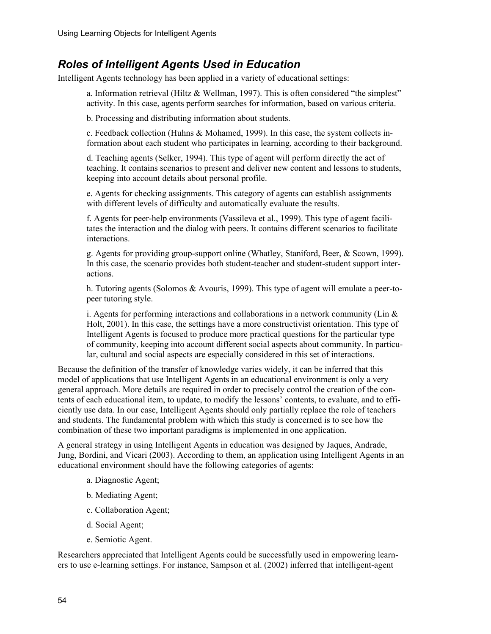### *Roles of Intelligent Agents Used in Education*

Intelligent Agents technology has been applied in a variety of educational settings:

a. Information retrieval (Hiltz & Wellman, 1997). This is often considered "the simplest" activity. In this case, agents perform searches for information, based on various criteria.

b. Processing and distributing information about students.

c. Feedback collection (Huhns & Mohamed, 1999). In this case, the system collects information about each student who participates in learning, according to their background.

d. Teaching agents (Selker, 1994). This type of agent will perform directly the act of teaching. It contains scenarios to present and deliver new content and lessons to students, keeping into account details about personal profile.

e. Agents for checking assignments. This category of agents can establish assignments with different levels of difficulty and automatically evaluate the results.

f. Agents for peer-help environments (Vassileva et al., 1999). This type of agent facilitates the interaction and the dialog with peers. It contains different scenarios to facilitate interactions.

g. Agents for providing group-support online (Whatley, Staniford, Beer, & Scown, 1999). In this case, the scenario provides both student-teacher and student-student support interactions.

h. Tutoring agents (Solomos & Avouris, 1999). This type of agent will emulate a peer-topeer tutoring style.

i. Agents for performing interactions and collaborations in a network community (Lin  $\&$ Holt, 2001). In this case, the settings have a more constructivist orientation. This type of Intelligent Agents is focused to produce more practical questions for the particular type of community, keeping into account different social aspects about community. In particular, cultural and social aspects are especially considered in this set of interactions.

Because the definition of the transfer of knowledge varies widely, it can be inferred that this model of applications that use Intelligent Agents in an educational environment is only a very general approach. More details are required in order to precisely control the creation of the contents of each educational item, to update, to modify the lessons' contents, to evaluate, and to efficiently use data. In our case, Intelligent Agents should only partially replace the role of teachers and students. The fundamental problem with which this study is concerned is to see how the combination of these two important paradigms is implemented in one application.

A general strategy in using Intelligent Agents in education was designed by Jaques, Andrade, Jung, Bordini, and Vicari (2003). According to them, an application using Intelligent Agents in an educational environment should have the following categories of agents:

- a. Diagnostic Agent;
- b. Mediating Agent;
- c. Collaboration Agent;
- d. Social Agent;
- e. Semiotic Agent.

Researchers appreciated that Intelligent Agents could be successfully used in empowering learners to use e-learning settings. For instance, Sampson et al. (2002) inferred that intelligent-agent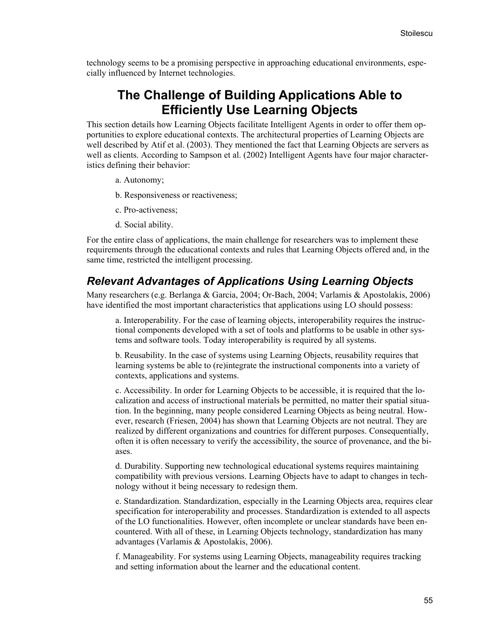technology seems to be a promising perspective in approaching educational environments, especially influenced by Internet technologies.

### **The Challenge of Building Applications Able to Efficiently Use Learning Objects**

This section details how Learning Objects facilitate Intelligent Agents in order to offer them opportunities to explore educational contexts. The architectural properties of Learning Objects are well described by Atif et al. (2003). They mentioned the fact that Learning Objects are servers as well as clients. According to Sampson et al. (2002) Intelligent Agents have four major characteristics defining their behavior:

a. Autonomy;

- b. Responsiveness or reactiveness;
- c. Pro-activeness;
- d. Social ability.

For the entire class of applications, the main challenge for researchers was to implement these requirements through the educational contexts and rules that Learning Objects offered and, in the same time, restricted the intelligent processing.

#### *Relevant Advantages of Applications Using Learning Objects*

Many researchers (e.g. Berlanga & Garcia, 2004; Or-Bach, 2004; Varlamis & Apostolakis, 2006) have identified the most important characteristics that applications using LO should possess:

a. Interoperability. For the case of learning objects, interoperability requires the instructional components developed with a set of tools and platforms to be usable in other systems and software tools. Today interoperability is required by all systems.

b. Reusability. In the case of systems using Learning Objects, reusability requires that learning systems be able to (re)integrate the instructional components into a variety of contexts, applications and systems.

c. Accessibility. In order for Learning Objects to be accessible, it is required that the localization and access of instructional materials be permitted, no matter their spatial situation. In the beginning, many people considered Learning Objects as being neutral. However, research (Friesen, 2004) has shown that Learning Objects are not neutral. They are realized by different organizations and countries for different purposes. Consequentially, often it is often necessary to verify the accessibility, the source of provenance, and the biases.

d. Durability. Supporting new technological educational systems requires maintaining compatibility with previous versions. Learning Objects have to adapt to changes in technology without it being necessary to redesign them.

e. Standardization. Standardization, especially in the Learning Objects area, requires clear specification for interoperability and processes. Standardization is extended to all aspects of the LO functionalities. However, often incomplete or unclear standards have been encountered. With all of these, in Learning Objects technology, standardization has many advantages (Varlamis & Apostolakis, 2006).

f. Manageability. For systems using Learning Objects, manageability requires tracking and setting information about the learner and the educational content.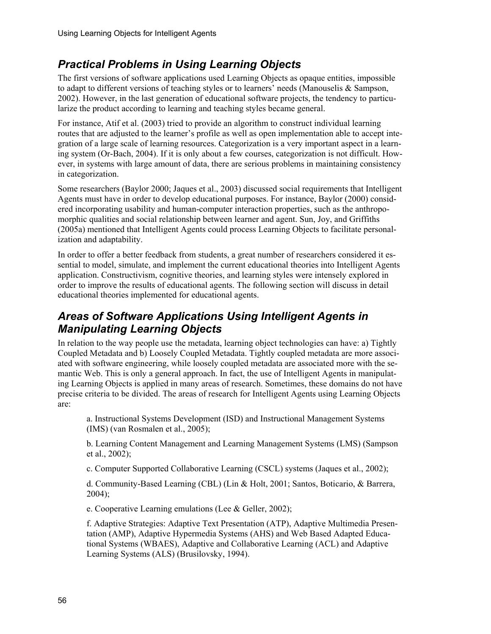### *Practical Problems in Using Learning Objects*

The first versions of software applications used Learning Objects as opaque entities, impossible to adapt to different versions of teaching styles or to learners' needs (Manouselis & Sampson, 2002). However, in the last generation of educational software projects, the tendency to particularize the product according to learning and teaching styles became general.

For instance, Atif et al. (2003) tried to provide an algorithm to construct individual learning routes that are adjusted to the learner's profile as well as open implementation able to accept integration of a large scale of learning resources. Categorization is a very important aspect in a learning system (Or-Bach, 2004). If it is only about a few courses, categorization is not difficult. However, in systems with large amount of data, there are serious problems in maintaining consistency in categorization.

Some researchers (Baylor 2000; Jaques et al., 2003) discussed social requirements that Intelligent Agents must have in order to develop educational purposes. For instance, Baylor (2000) considered incorporating usability and human-computer interaction properties, such as the anthropomorphic qualities and social relationship between learner and agent. Sun, Joy, and Griffiths (2005a) mentioned that Intelligent Agents could process Learning Objects to facilitate personalization and adaptability.

In order to offer a better feedback from students, a great number of researchers considered it essential to model, simulate, and implement the current educational theories into Intelligent Agents application. Constructivism, cognitive theories, and learning styles were intensely explored in order to improve the results of educational agents. The following section will discuss in detail educational theories implemented for educational agents.

### *Areas of Software Applications Using Intelligent Agents in Manipulating Learning Objects*

In relation to the way people use the metadata, learning object technologies can have: a) Tightly Coupled Metadata and b) Loosely Coupled Metadata. Tightly coupled metadata are more associated with software engineering, while loosely coupled metadata are associated more with the semantic Web. This is only a general approach. In fact, the use of Intelligent Agents in manipulating Learning Objects is applied in many areas of research. Sometimes, these domains do not have precise criteria to be divided. The areas of research for Intelligent Agents using Learning Objects are:

a. Instructional Systems Development (ISD) and Instructional Management Systems (IMS) (van Rosmalen et al., 2005);

b. Learning Content Management and Learning Management Systems (LMS) (Sampson et al., 2002);

c. Computer Supported Collaborative Learning (CSCL) systems (Jaques et al., 2002);

d. Community-Based Learning (CBL) (Lin & Holt, 2001; Santos, Boticario, & Barrera, 2004);

e. Cooperative Learning emulations (Lee & Geller, 2002);

f. Adaptive Strategies: Adaptive Text Presentation (ATP), Adaptive Multimedia Presentation (AMP), Adaptive Hypermedia Systems (AHS) and Web Based Adapted Educational Systems (WBAES), Adaptive and Collaborative Learning (ACL) and Adaptive Learning Systems (ALS) (Brusilovsky, 1994).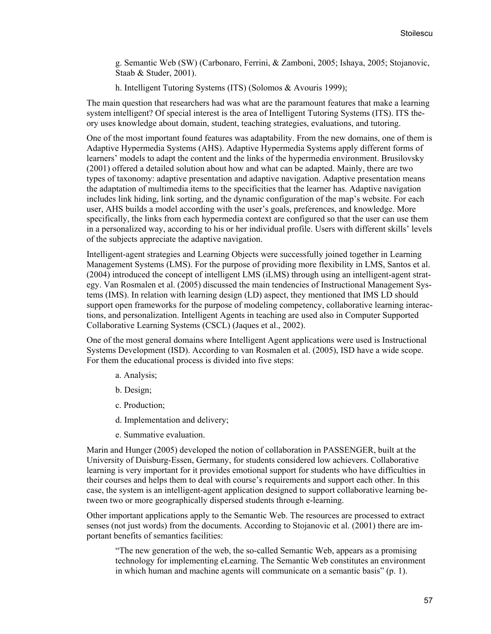g. Semantic Web (SW) (Carbonaro, Ferrini, & Zamboni, 2005; Ishaya, 2005; Stojanovic, Staab & Studer, 2001).

h. Intelligent Tutoring Systems (ITS) (Solomos & Avouris 1999);

The main question that researchers had was what are the paramount features that make a learning system intelligent? Of special interest is the area of Intelligent Tutoring Systems (ITS). ITS theory uses knowledge about domain, student, teaching strategies, evaluations, and tutoring.

One of the most important found features was adaptability. From the new domains, one of them is Adaptive Hypermedia Systems (AHS). Adaptive Hypermedia Systems apply different forms of learners' models to adapt the content and the links of the hypermedia environment. Brusilovsky (2001) offered a detailed solution about how and what can be adapted. Mainly, there are two types of taxonomy: adaptive presentation and adaptive navigation. Adaptive presentation means the adaptation of multimedia items to the specificities that the learner has. Adaptive navigation includes link hiding, link sorting, and the dynamic configuration of the map's website. For each user, AHS builds a model according with the user's goals, preferences, and knowledge. More specifically, the links from each hypermedia context are configured so that the user can use them in a personalized way, according to his or her individual profile. Users with different skills' levels of the subjects appreciate the adaptive navigation.

Intelligent-agent strategies and Learning Objects were successfully joined together in Learning Management Systems (LMS). For the purpose of providing more flexibility in LMS, Santos et al. (2004) introduced the concept of intelligent LMS (iLMS) through using an intelligent-agent strategy. Van Rosmalen et al. (2005) discussed the main tendencies of Instructional Management Systems (IMS). In relation with learning design (LD) aspect, they mentioned that IMS LD should support open frameworks for the purpose of modeling competency, collaborative learning interactions, and personalization. Intelligent Agents in teaching are used also in Computer Supported Collaborative Learning Systems (CSCL) (Jaques et al., 2002).

One of the most general domains where Intelligent Agent applications were used is Instructional Systems Development (ISD). According to van Rosmalen et al. (2005), ISD have a wide scope. For them the educational process is divided into five steps:

- a. Analysis;
- b. Design;
- c. Production;
- d. Implementation and delivery;
- e. Summative evaluation.

Marin and Hunger (2005) developed the notion of collaboration in PASSENGER, built at the University of Duisburg-Essen, Germany, for students considered low achievers. Collaborative learning is very important for it provides emotional support for students who have difficulties in their courses and helps them to deal with course's requirements and support each other. In this case, the system is an intelligent-agent application designed to support collaborative learning between two or more geographically dispersed students through e-learning.

Other important applications apply to the Semantic Web. The resources are processed to extract senses (not just words) from the documents. According to Stojanovic et al. (2001) there are important benefits of semantics facilities:

"The new generation of the web, the so-called Semantic Web, appears as a promising technology for implementing eLearning. The Semantic Web constitutes an environment in which human and machine agents will communicate on a semantic basis" (p. 1).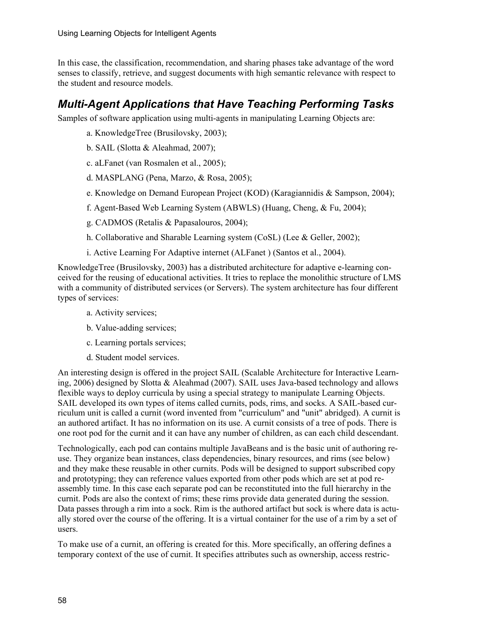In this case, the classification, recommendation, and sharing phases take advantage of the word senses to classify, retrieve, and suggest documents with high semantic relevance with respect to the student and resource models.

### *Multi-Agent Applications that Have Teaching Performing Tasks*

Samples of software application using multi-agents in manipulating Learning Objects are:

- a. KnowledgeTree (Brusilovsky, 2003);
- b. SAIL (Slotta & Aleahmad, 2007);
- c. aLFanet (van Rosmalen et al., 2005);
- d. MASPLANG (Pena, Marzo, & Rosa, 2005);
- e. Knowledge on Demand European Project (KOD) (Karagiannidis & Sampson, 2004);
- f. Agent-Based Web Learning System (ABWLS) (Huang, Cheng, & Fu, 2004);
- g. CADMOS (Retalis & Papasalouros, 2004);
- h. Collaborative and Sharable Learning system (CoSL) (Lee & Geller, 2002);
- i. Active Learning For Adaptive internet (ALFanet ) (Santos et al., 2004).

KnowledgeTree (Brusilovsky, 2003) has a distributed architecture for adaptive e-learning conceived for the reusing of educational activities. It tries to replace the monolithic structure of LMS with a community of distributed services (or Servers). The system architecture has four different types of services:

- a. Activity services;
- b. Value-adding services;
- c. Learning portals services;
- d. Student model services.

An interesting design is offered in the project SAIL (Scalable Architecture for Interactive Learning, 2006) designed by Slotta & Aleahmad (2007). SAIL uses Java-based technology and allows flexible ways to deploy curricula by using a special strategy to manipulate Learning Objects. SAIL developed its own types of items called curnits, pods, rims, and socks. A SAIL-based curriculum unit is called a curnit (word invented from "curriculum" and "unit" abridged). A curnit is an authored artifact. It has no information on its use. A curnit consists of a tree of pods. There is one root pod for the curnit and it can have any number of children, as can each child descendant.

Technologically, each pod can contains multiple JavaBeans and is the basic unit of authoring reuse. They organize bean instances, class dependencies, binary resources, and rims (see below) and they make these reusable in other curnits. Pods will be designed to support subscribed copy and prototyping; they can reference values exported from other pods which are set at pod reassembly time. In this case each separate pod can be reconstituted into the full hierarchy in the curnit. Pods are also the context of rims; these rims provide data generated during the session. Data passes through a rim into a sock. Rim is the authored artifact but sock is where data is actually stored over the course of the offering. It is a virtual container for the use of a rim by a set of users.

To make use of a curnit, an offering is created for this. More specifically, an offering defines a temporary context of the use of curnit. It specifies attributes such as ownership, access restric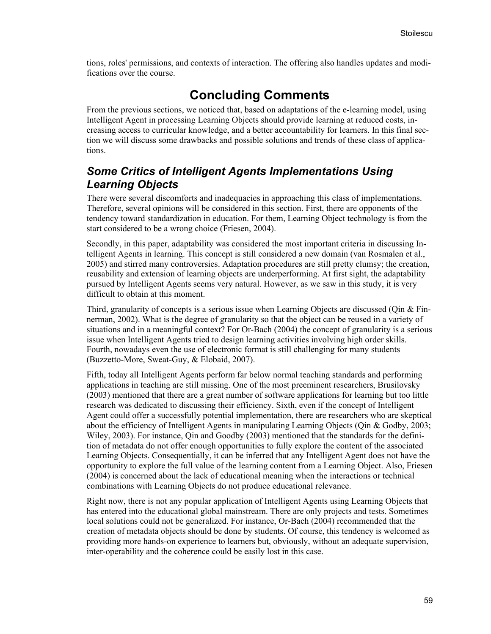tions, roles' permissions, and contexts of interaction. The offering also handles updates and modifications over the course.

## **Concluding Comments**

From the previous sections, we noticed that, based on adaptations of the e-learning model, using Intelligent Agent in processing Learning Objects should provide learning at reduced costs, increasing access to curricular knowledge, and a better accountability for learners. In this final section we will discuss some drawbacks and possible solutions and trends of these class of applications.

### *Some Critics of Intelligent Agents Implementations Using Learning Objects*

There were several discomforts and inadequacies in approaching this class of implementations. Therefore, several opinions will be considered in this section. First, there are opponents of the tendency toward standardization in education. For them, Learning Object technology is from the start considered to be a wrong choice (Friesen, 2004).

Secondly, in this paper, adaptability was considered the most important criteria in discussing Intelligent Agents in learning. This concept is still considered a new domain (van Rosmalen et al., 2005) and stirred many controversies. Adaptation procedures are still pretty clumsy; the creation, reusability and extension of learning objects are underperforming. At first sight, the adaptability pursued by Intelligent Agents seems very natural. However, as we saw in this study, it is very difficult to obtain at this moment.

Third, granularity of concepts is a serious issue when Learning Objects are discussed (Qin  $&$  Finnerman, 2002). What is the degree of granularity so that the object can be reused in a variety of situations and in a meaningful context? For Or-Bach (2004) the concept of granularity is a serious issue when Intelligent Agents tried to design learning activities involving high order skills. Fourth, nowadays even the use of electronic format is still challenging for many students (Buzzetto-More, Sweat-Guy, & Elobaid, 2007).

Fifth, today all Intelligent Agents perform far below normal teaching standards and performing applications in teaching are still missing. One of the most preeminent researchers, Brusilovsky (2003) mentioned that there are a great number of software applications for learning but too little research was dedicated to discussing their efficiency. Sixth, even if the concept of Intelligent Agent could offer a successfully potential implementation, there are researchers who are skeptical about the efficiency of Intelligent Agents in manipulating Learning Objects (Qin & Godby, 2003; Wiley, 2003). For instance, Qin and Goodby (2003) mentioned that the standards for the definition of metadata do not offer enough opportunities to fully explore the content of the associated Learning Objects. Consequentially, it can be inferred that any Intelligent Agent does not have the opportunity to explore the full value of the learning content from a Learning Object. Also, Friesen (2004) is concerned about the lack of educational meaning when the interactions or technical combinations with Learning Objects do not produce educational relevance.

Right now, there is not any popular application of Intelligent Agents using Learning Objects that has entered into the educational global mainstream. There are only projects and tests. Sometimes local solutions could not be generalized. For instance, Or-Bach (2004) recommended that the creation of metadata objects should be done by students. Of course, this tendency is welcomed as providing more hands-on experience to learners but, obviously, without an adequate supervision, inter-operability and the coherence could be easily lost in this case.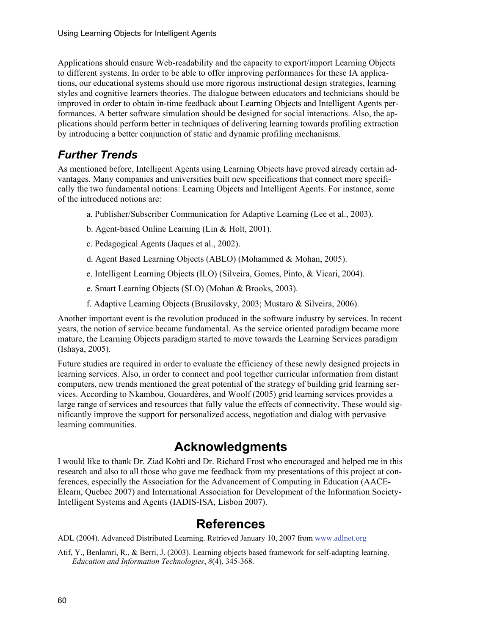Applications should ensure Web-readability and the capacity to export/import Learning Objects to different systems. In order to be able to offer improving performances for these IA applications, our educational systems should use more rigorous instructional design strategies, learning styles and cognitive learners theories. The dialogue between educators and technicians should be improved in order to obtain in-time feedback about Learning Objects and Intelligent Agents performances. A better software simulation should be designed for social interactions. Also, the applications should perform better in techniques of delivering learning towards profiling extraction by introducing a better conjunction of static and dynamic profiling mechanisms.

## *Further Trends*

As mentioned before, Intelligent Agents using Learning Objects have proved already certain advantages. Many companies and universities built new specifications that connect more specifically the two fundamental notions: Learning Objects and Intelligent Agents. For instance, some of the introduced notions are:

- a. Publisher/Subscriber Communication for Adaptive Learning (Lee et al., 2003).
- b. Agent-based Online Learning (Lin & Holt, 2001).
- c. Pedagogical Agents (Jaques et al., 2002).
- d. Agent Based Learning Objects (ABLO) (Mohammed & Mohan, 2005).
- e. Intelligent Learning Objects (ILO) (Silveira, Gomes, Pinto, & Vicari, 2004).
- e. Smart Learning Objects (SLO) (Mohan & Brooks, 2003).
- f. Adaptive Learning Objects (Brusilovsky, 2003; Mustaro & Silveira, 2006).

Another important event is the revolution produced in the software industry by services. In recent years, the notion of service became fundamental. As the service oriented paradigm became more mature, the Learning Objects paradigm started to move towards the Learning Services paradigm (Ishaya, 2005).

Future studies are required in order to evaluate the efficiency of these newly designed projects in learning services. Also, in order to connect and pool together curricular information from distant computers, new trends mentioned the great potential of the strategy of building grid learning services. According to Nkambou, Gouardères, and Woolf (2005) grid learning services provides a large range of services and resources that fully value the effects of connectivity. These would significantly improve the support for personalized access, negotiation and dialog with pervasive learning communities.

## **Acknowledgments**

I would like to thank Dr. Ziad Kobti and Dr. Richard Frost who encouraged and helped me in this research and also to all those who gave me feedback from my presentations of this project at conferences, especially the Association for the Advancement of Computing in Education (AACE-Elearn, Quebec 2007) and International Association for Development of the Information Society-Intelligent Systems and Agents (IADIS-ISA, Lisbon 2007).

## **References**

ADL (2004). Advanced Distributed Learning. Retrieved January 10, 2007 from [www.adlnet.org](http://www.adlnet.org/)

Atif, Y., Benlamri, R., & Berri, J. (2003). Learning objects based framework for self-adapting learning. *Education and Information Technologies*, *8*(4), 345-368.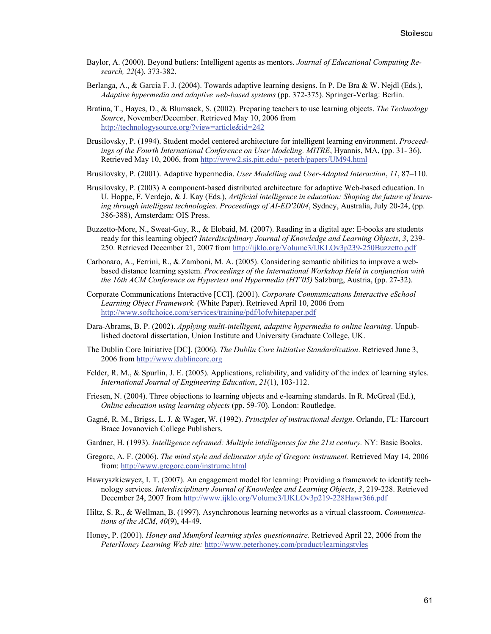- Baylor, A. (2000). Beyond butlers: Intelligent agents as mentors. *Journal of Educational Computing Research, 22*(4), 373-382.
- Berlanga, A., & García F. J. (2004). Towards adaptive learning designs. In P. De Bra & W. Nejdl (Eds.), *Adaptive hypermedia and adaptive web-based systems* (pp. 372-375). Springer-Verlag: Berlin.
- Bratina, T., Hayes, D., & Blumsack, S. (2002). Preparing teachers to use learning objects. *The Technology Source*, November/December. Retrieved May 10, 2006 from <http://technologysource.org/?view=article&id=242>
- Brusilovsky, P. (1994). Student model centered architecture for intelligent learning environment. *Proceedings of the Fourth International Conference on User Modeling. MITRE*, Hyannis, MA, (pp. 31- 36). Retrieved May 10, 2006, from<http://www2.sis.pitt.edu/~peterb/papers/UM94.html>
- Brusilovsky, P. (2001). Adaptive hypermedia. *User Modelling and User-Adapted Interaction*, *11*, 87–110.
- Brusilovsky, P. (2003) A component-based distributed architecture for adaptive Web-based education. In U. Hoppe, F. Verdejo, & J. Kay (Eds.), *Artificial intelligence in education: Shaping the future of learning through intelligent technologies. Proceedings of AI-ED'2004*, Sydney, Australia, July 20-24, (pp. 386-388), Amsterdam: OIS Press.
- Buzzetto-More, N., Sweat-Guy, R., & Elobaid, M. (2007). Reading in a digital age: E-books are students ready for this learning object? *Interdisciplinary Journal of Knowledge and Learning Objects*, *3*, 239- 250. Retrieved December 21, 2007 from<http://ijklo.org/Volume3/IJKLOv3p239-250Buzzetto.pdf>
- Carbonaro, A., Ferrini, R., & Zamboni, M. A. (2005). Considering semantic abilities to improve a webbased distance learning system. *Proceedings of the International Workshop Held in conjunction with the 16th ACM Conference on Hypertext and Hypermedia (HT'05)* Salzburg, Austria, (pp. 27-32).
- Corporate Communications Interactive [CCI]. (2001). *Corporate Communications Interactive eSchool Learning Object Framework.* (White Paper). Retrieved April 10, 2006 from <http://www.softchoice.com/services/training/pdf/lofwhitepaper.pdf>
- Dara-Abrams, B. P. (2002). *Applying multi-intelligent, adaptive hypermedia to online learning*. Unpublished doctoral dissertation, Union Institute and University Graduate College, UK.
- The Dublin Core Initiative [DC]. (2006). *The Dublin Core Initiative Standardization*. Retrieved June 3, 2006 from [http://www.dublincore.org](http://www.dublincore.org/)
- Felder, R. M., & Spurlin, J. E. (2005). Applications, reliability, and validity of the index of learning styles. *International Journal of Engineering Education*, *21*(1), 103-112.
- Friesen, N. (2004). Three objections to learning objects and e-learning standards. In R. McGreal (Ed.), *Online education using learning objects* (pp. 59-70). London: Routledge.
- Gagné, R. M., Brigss, L. J. & Wager, W. (1992). *Principles of instructional design*. Orlando, FL: Harcourt Brace Jovanovich College Publishers.
- Gardner, H. (1993). *Intelligence reframed: Multiple intelligences for the 21st century.* NY: Basic Books.
- Gregorc, A. F. (2006). *The mind style and delineator style of Gregorc instrument.* Retrieved May 14, 2006 from: <http://www.gregorc.com/instrume.html>
- Hawryszkiewycz, I. T. (2007). An engagement model for learning: Providing a framework to identify technology services. *Interdisciplinary Journal of Knowledge and Learning Objects*, *3*, 219-228. Retrieved December 24, 2007 from <http://www.ijklo.org/Volume3/IJKLOv3p219-228Hawr366.pdf>
- Hiltz, S. R., & Wellman, B. (1997). Asynchronous learning networks as a virtual classroom. *Communications of the ACM*, *40*(9), 44-49.
- Honey, P. (2001). *Honey and Mumford learning styles questionnaire.* Retrieved April 22, 2006 from the *PeterHoney Learning Web site:* <http://www.peterhoney.com/product/learningstyles>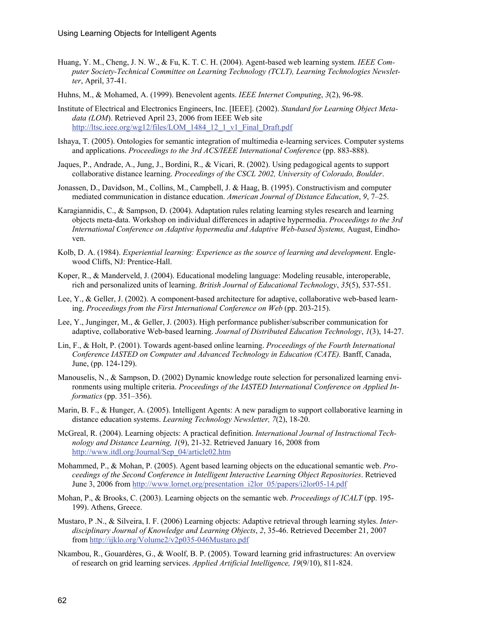- Huang, Y. M., Cheng, J. N. W., & Fu, K. T. C. H. (2004). Agent-based web learning system. *IEEE Computer Society-Technical Committee on Learning Technology (TCLT), Learning Technologies Newsletter*, April, 37-41.
- Huhns, M., & Mohamed, A. (1999). Benevolent agents. *IEEE Internet Computing*, *3*(2), 96-98.
- Institute of Electrical and Electronics Engineers, Inc. [IEEE]. (2002). *Standard for Learning Object Metadata (LOM*). Retrieved April 23, 2006 from IEEE Web site [http://ltsc.ieee.org/wg12/files/LOM\\_1484\\_12\\_1\\_v1\\_Final\\_Draft.pdf](http://ltsc.ieee.org/wg12/files/LOM_1484_12_1_v1_Final_Draft.pdf)
- Ishaya, T. (2005). Ontologies for semantic integration of multimedia e-learning services. Computer systems and applications. *Proceedings to the 3rd ACS/IEEE International Conference* (pp. 883-888).
- Jaques, P., Andrade, A., Jung, J., Bordini, R., & Vicari, R. (2002). Using pedagogical agents to support collaborative distance learning. *Proceedings of the CSCL 2002, University of Colorado, Boulder*.
- Jonassen, D., Davidson, M., Collins, M., Campbell, J. & Haag, B. (1995). Constructivism and computer mediated communication in distance education. *American Journal of Distance Education*, *9*, 7–25.
- Karagiannidis, C., & Sampson, D. (2004). Adaptation rules relating learning styles research and learning objects meta-data. Workshop on individual differences in adaptive hypermedia. *Proceedings to the 3rd*  International Conference on Adaptive hypermedia and Adaptive Web-based Systems, August, Eindhoven.
- Kolb, D. A. (1984). *Experiential learning: Experience as the source of learning and development*. Englewood Cliffs, NJ: Prentice-Hall.
- Koper, R., & Manderveld, J. (2004). Educational modeling language: Modeling reusable, interoperable, rich and personalized units of learning. *British Journal of Educational Technology*, *35*(5), 537-551.
- Lee, Y., & Geller, J. (2002). A component-based architecture for adaptive, collaborative web-based learning. *Proceedings from the First International Conference on Web* (pp. 203-215).
- Lee, Y., Junginger, M., & Geller, J. (2003). High performance publisher/subscriber communication for adaptive, collaborative Web-based learning. *Journal of Distributed Education Technology*, *1*(3), 14-27.
- Lin, F., & Holt, P. (2001). Towards agent-based online learning. *Proceedings of the Fourth International Conference IASTED on Computer and Advanced Technology in Education (CATE).* Banff, Canada, June, (pp. 124-129).
- Manouselis, N., & Sampson, D. (2002) Dynamic knowledge route selection for personalized learning environments using multiple criteria. *Proceedings of the IASTED International Conference on Applied Informatics* (pp. 351–356).
- Marin, B. F., & Hunger, A. (2005). Intelligent Agents: A new paradigm to support collaborative learning in distance education systems. *Learning Technology Newsletter, 7*(2), 18-20.
- McGreal, R. (2004). Learning objects: A practical definition. *International Journal of Instructional Technology and Distance Learning, 1*(9), 21-32. Retrieved January 16, 2008 from [http://www.itdl.org/Journal/Sep\\_04/article02.htm](http://www.itdl.org/Journal/Sep_04/article02.htm)
- Mohammed, P., & Mohan, P. (2005). Agent based learning objects on the educational semantic web. *Proceedings of the Second Conference in Intelligent Interactive Learning Object Repositories*. Retrieved June 3, 2006 from [http://www.lornet.org/presentation\\_i2lor\\_05/papers/i2lor05-14.pdf](http://www.lornet.org/presentation_i2lor_05/papers/i2lor05-14.pdf)
- Mohan, P., & Brooks, C. (2003). Learning objects on the semantic web. *Proceedings of ICALT* (pp. 195- 199). Athens, Greece.
- Mustaro, P .N., & Silveira, I. F. (2006) Learning objects: Adaptive retrieval through learning styles. *Interdisciplinary Journal of Knowledge and Learning Objects*, *2*, 35-46. Retrieved December 21, 2007 from <http://ijklo.org/Volume2/v2p035-046Mustaro.pdf>
- Nkambou, R., Gouardères, G., & Woolf, B. P. (2005). Toward learning grid infrastructures: An overview of research on grid learning services. *Applied Artificial Intelligence, 19*(9/10), 811-824.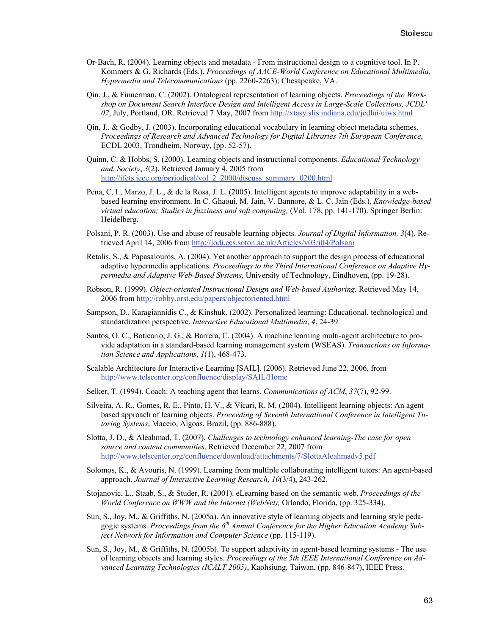- Or-Bach, R. (2004). Learning objects and metadata From instructional design to a cognitive tool. In P. Kommers & G. Richards (Eds.), *Proceedings of AACE-World Conference on Educational Multimedia, Hypermedia and Telecommunications* (pp. 2260-2263); Chesapeake, VA.
- Qin, J., & Finnerman, C. (2002). Ontological representation of learning objects. *Proceedings of the Workshop on Document Search Interface Design and Intelligent Access in Large-Scale Collections, JCDL' 02*, July, Portland, OR. Retrieved 7 May, 2007 from<http://xtasy.slis.indiana.edu/jcdlui/uiws.html>
- Qin, J., & Godby, J. (2003). Incorporating educational vocabulary in learning object metadata schemes. *Proceedings of Research and Advanced Technology for Digital Libraries 7th European Conference*, ECDL 2003, Trondheim, Norway, (pp. 52-57).
- Quinn, C. & Hobbs, S. (2000). Learning objects and instructional components. *Educational Technology and. Society*, *3*(2). Retrieved January 4, 2005 from [http://ifets.ieee.org/periodical/vol\\_2\\_2000/discuss\\_summary\\_0200.html](http://ifets.ieee.org/periodical/vol_2_2000/discuss_summary_0200.html)
- Pena, C. I., Marzo, J. L., & de la Rosa, J. L. (2005). Intelligent agents to improve adaptability in a webbased learning environment. In C. Ghaoui, M. Jain, V. Bannore, & L. C. Jain (Eds.), *Knowledge-based virtual education; Studies in fuzziness and soft computing,* (Vol. 178, pp. 141-170). Springer Berlin: Heidelberg.
- Polsani, P. R. (2003). Use and abuse of reusable learning objects. *Journal of Digital Information, 3*(4). Retrieved April 14, 2006 from<http://jodi.ecs.soton.ac.uk/Articles/v03/i04/Polsani>
- Retalis, S., & Papasalouros, A. (2004). Yet another approach to support the design process of educational adaptive hypermedia applications. *Proceedings to the Third International Conference on Adaptive Hypermedia and Adaptive Web-Based Systems*, University of Technology, Eindhoven, (pp. 19-28).
- Robson, R. (1999). *Object-oriented Instructional Design and Web-based Authoring.* Retrieved May 14, 2006 from<http://robby.orst.edu/papers/objectoriented.html>
- Sampson, D., Karagiannidis C., & Kinshuk. (2002). Personalized learning: Educational, technological and standardization perspective. *Interactive Educational Multimedia*, *4*, 24-39.
- Santos, O. C., Boticario, J. G., & Barrera, C. (2004). A machine learning multi-agent architecture to provide adaptation in a standard-based learning management system (WSEAS). *Transactions on Information Science and Applications*, *1*(1), 468-473.
- Scalable Architecture for Interactive Learning [SAIL]. (2006). Retrieved June 22, 2006, from <http://www.telscenter.org/confluence/display/SAIL/Home>
- Selker, T. (1994). Coach: A teaching agent that learns. *Communications of ACM*, *37*(7), 92-99.
- Silveira, A. R., Gomes, R. E., Pinto, H. V., & Vicari, R. M. (2004). Intelligent learning objects: An agent based approach of learning objects. *Proceeding of Seventh International Conference in Intelligent Tutoring Systems*, Maceio, Algoas, Brazil, (pp. 886-888).
- Slotta, J. D., & Aleahmad, T. (2007). *Challenges to technology enhanced learning-The case for open source and content communities*. Retrieved December 22, 2007 from <http://www.telscenter.org/confluence/download/attachments/7/SlottaAleahmadv5.pdf>
- Solomos, K., & Avouris, N. (1999). Learning from multiple collaborating intelligent tutors: An agent-based approach. *Journal of Interactive Learning Research*, *10*(3/4), 243-262.
- Stojanovic, L., Staab, S., & Studer, R. (2001). eLearning based on the semantic web. *Proceedings of the World Conference on WWW and the Internet (WebNet),* Orlando, Florida, (pp. 325-334).
- Sun, S., Joy, M., & Griffiths, N. (2005a). An innovative style of learning objects and learning style pedagogic systems. *Proceedings from the 6th Annual Conference for the Higher Education Academy Subject Network for Information and Computer Science* (pp. 115-119).
- Sun, S., Joy, M., & Griffiths, N. (2005b). To support adaptivity in agent-based learning systems The use of learning objects and learning styles. *Proceedings of the 5th IEEE International Conference on Advanced Learning Technologies (ICALT 2005)*, Kaohsiung, Taiwan, (pp. 846-847), IEEE Press.